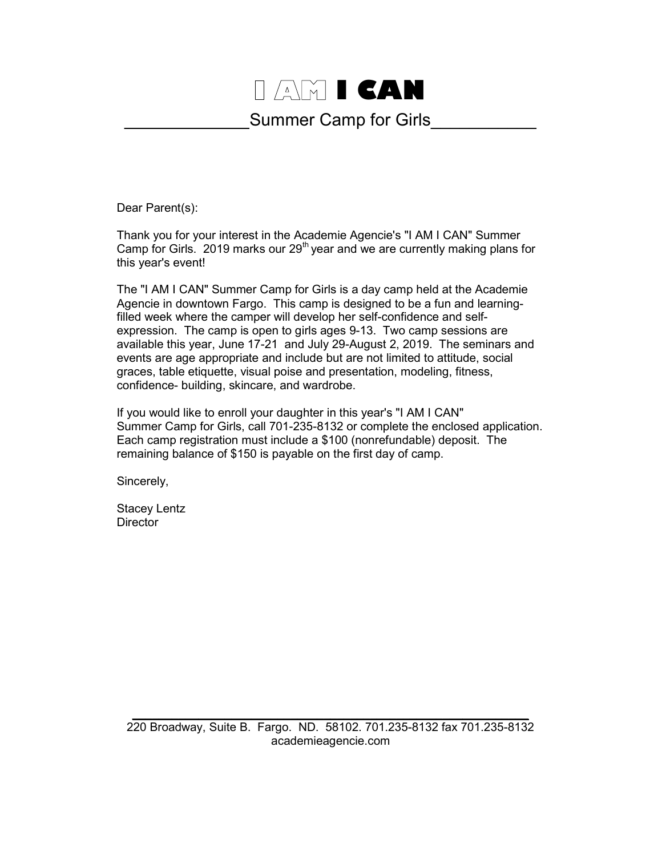## I AM I CAN

## Summer Camp for Girls

Dear Parent(s):

Thank you for your interest in the Academie Agencie's "I AM I CAN" Summer Camp for Girls. 2019 marks our  $29<sup>th</sup>$  year and we are currently making plans for this year's event!

The "I AM I CAN" Summer Camp for Girls is a day camp held at the Academie Agencie in downtown Fargo. This camp is designed to be a fun and learningfilled week where the camper will develop her self-confidence and selfexpression. The camp is open to girls ages 9-13. Two camp sessions are available this year, June 17-21 and July 29-August 2, 2019. The seminars and events are age appropriate and include but are not limited to attitude, social graces, table etiquette, visual poise and presentation, modeling, fitness, confidence- building, skincare, and wardrobe.

If you would like to enroll your daughter in this year's "I AM I CAN" Summer Camp for Girls, call 701-235-8132 or complete the enclosed application. Each camp registration must include a \$100 (nonrefundable) deposit. The remaining balance of \$150 is payable on the first day of camp.

Sincerely,

Stacey Lentz **Director**